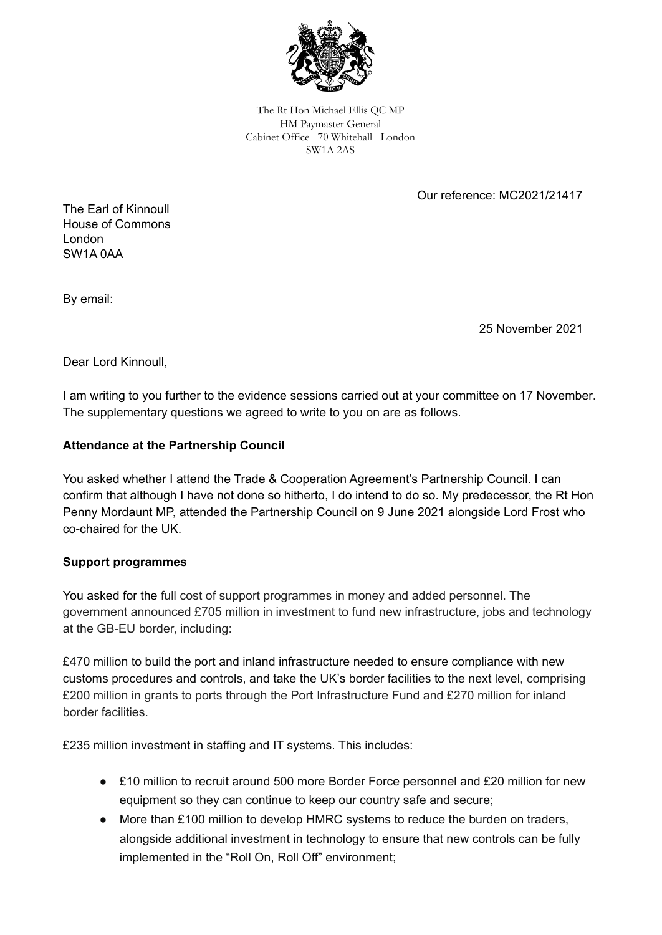

The Rt Hon Michael Ellis QC MP HM Paymaster General Cabinet Office 70 Whitehall London SW1A 2AS

Our reference: MC2021/21417

The Earl of Kinnoull House of Commons London SW1A 0AA

By email:

25 November 2021

Dear Lord Kinnoull,

I am writing to you further to the evidence sessions carried out at your committee on 17 November. The supplementary questions we agreed to write to you on are as follows.

### **Attendance at the Partnership Council**

You asked whether I attend the Trade & Cooperation Agreement's Partnership Council. I can confirm that although I have not done so hitherto, I do intend to do so. My predecessor, the Rt Hon Penny Mordaunt MP, attended the Partnership Council on 9 June 2021 alongside Lord Frost who co-chaired for the UK.

#### **Support programmes**

You asked for the full cost of support programmes in money and added personnel. The government announced £705 million in investment to fund new infrastructure, jobs and technology at the GB-EU border, including:

£470 million to build the port and inland infrastructure needed to ensure compliance with new customs procedures and controls, and take the UK's border facilities to the next level, comprising £200 million in grants to ports through the Port Infrastructure Fund and £270 million for inland border facilities.

£235 million investment in staffing and IT systems. This includes:

- £10 million to recruit around 500 more Border Force personnel and £20 million for new equipment so they can continue to keep our country safe and secure;
- More than £100 million to develop HMRC systems to reduce the burden on traders, alongside additional investment in technology to ensure that new controls can be fully implemented in the "Roll On, Roll Off" environment;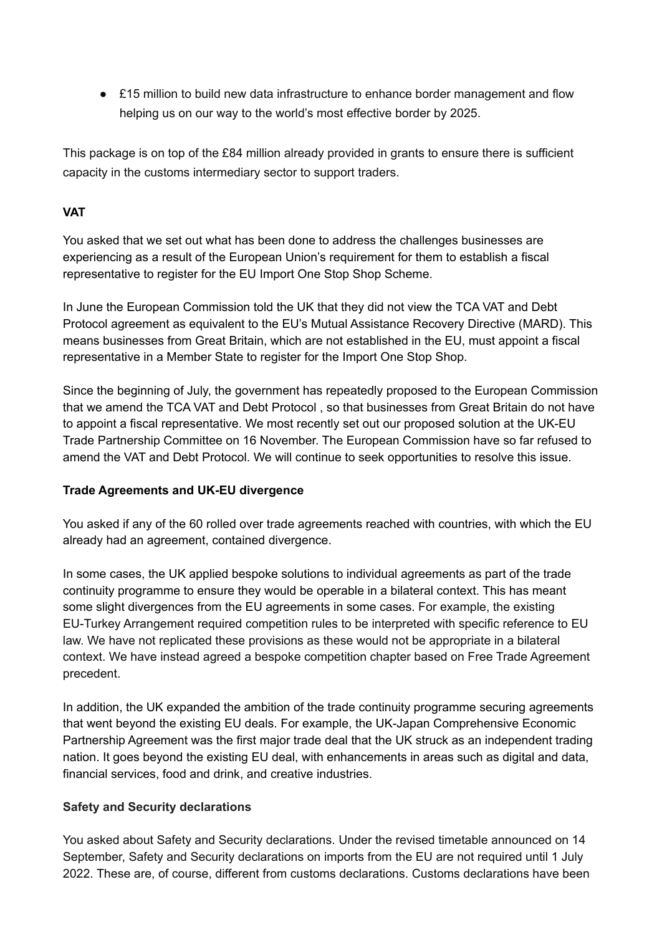● £15 million to build new data infrastructure to enhance border management and flow helping us on our way to the world's most effective border by 2025.

This package is on top of the £84 million already provided in grants to ensure there is sufficient capacity in the customs intermediary sector to support traders.

# **VAT**

You asked that we set out what has been done to address the challenges businesses are experiencing as a result of the European Union's requirement for them to establish a fiscal representative to register for the EU Import One Stop Shop Scheme.

In June the European Commission told the UK that they did not view the TCA VAT and Debt Protocol agreement as equivalent to the EU's Mutual Assistance Recovery Directive (MARD). This means businesses from Great Britain, which are not established in the EU, must appoint a fiscal representative in a Member State to register for the Import One Stop Shop.

Since the beginning of July, the government has repeatedly proposed to the European Commission that we amend the TCA VAT and Debt Protocol , so that businesses from Great Britain do not have to appoint a fiscal representative. We most recently set out our proposed solution at the UK-EU Trade Partnership Committee on 16 November. The European Commission have so far refused to amend the VAT and Debt Protocol. We will continue to seek opportunities to resolve this issue.

# **Trade Agreements and UK-EU divergence**

You asked if any of the 60 rolled over trade agreements reached with countries, with which the EU already had an agreement, contained divergence.

In some cases, the UK applied bespoke solutions to individual agreements as part of the trade continuity programme to ensure they would be operable in a bilateral context. This has meant some slight divergences from the EU agreements in some cases. For example, the existing EU-Turkey Arrangement required competition rules to be interpreted with specific reference to EU law. We have not replicated these provisions as these would not be appropriate in a bilateral context. We have instead agreed a bespoke competition chapter based on Free Trade Agreement precedent.

In addition, the UK expanded the ambition of the trade continuity programme securing agreements that went beyond the existing EU deals. For example, the UK-Japan Comprehensive Economic Partnership Agreement was the first major trade deal that the UK struck as an independent trading nation. It goes beyond the existing EU deal, with enhancements in areas such as digital and data, financial services, food and drink, and creative industries.

# **Safety and Security declarations**

You asked about Safety and Security declarations. Under the revised timetable announced on 14 September, Safety and Security declarations on imports from the EU are not required until 1 July 2022. These are, of course, different from customs declarations. Customs declarations have been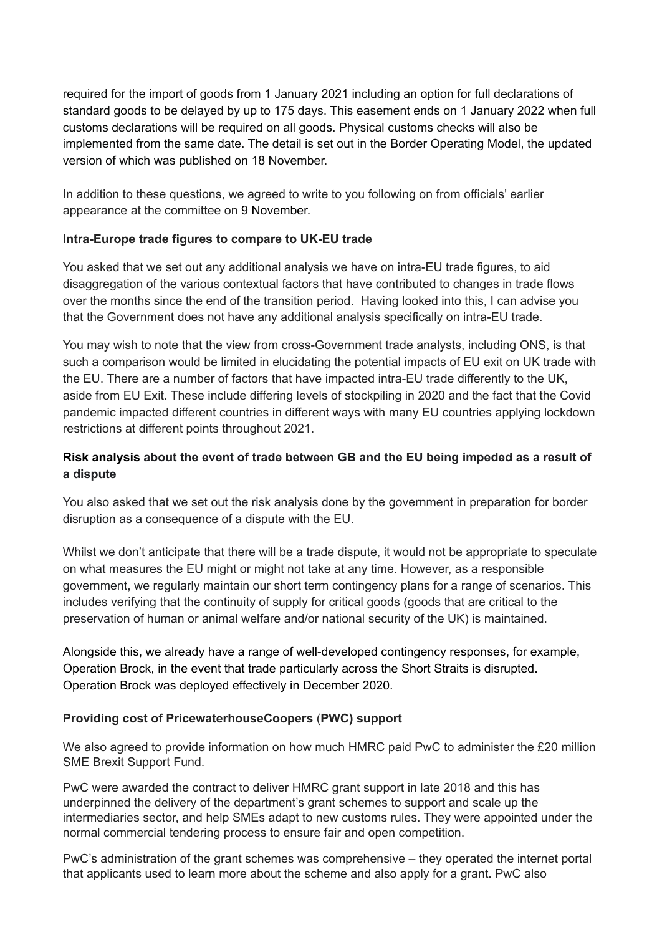required for the import of goods from 1 January 2021 including an option for full declarations of standard goods to be delayed by up to 175 days. This easement ends on 1 January 2022 when full customs declarations will be required on all goods. Physical customs checks will also be implemented from the same date. The detail is set out in the Border Operating Model, the updated version of which was published on 18 November.

In addition to these questions, we agreed to write to you following on from officials' earlier appearance at the committee on 9 November.

### **Intra-Europe trade figures to compare to UK-EU trade**

You asked that we set out any additional analysis we have on intra-EU trade figures, to aid disaggregation of the various contextual factors that have contributed to changes in trade flows over the months since the end of the transition period. Having looked into this, I can advise you that the Government does not have any additional analysis specifically on intra-EU trade.

You may wish to note that the view from cross-Government trade analysts, including ONS, is that such a comparison would be limited in elucidating the potential impacts of EU exit on UK trade with the EU. There are a number of factors that have impacted intra-EU trade differently to the UK, aside from EU Exit. These include differing levels of stockpiling in 2020 and the fact that the Covid pandemic impacted different countries in different ways with many EU countries applying lockdown restrictions at different points throughout 2021.

## **Risk analysis about the event of trade between GB and the EU being impeded as a result of a dispute**

You also asked that we set out the risk analysis done by the government in preparation for border disruption as a consequence of a dispute with the EU.

Whilst we don't anticipate that there will be a trade dispute, it would not be appropriate to speculate on what measures the EU might or might not take at any time. However, as a responsible government, we regularly maintain our short term contingency plans for a range of scenarios. This includes verifying that the continuity of supply for critical goods (goods that are critical to the preservation of human or animal welfare and/or national security of the UK) is maintained.

Alongside this, we already have a range of well-developed contingency responses, for example, Operation Brock, in the event that trade particularly across the Short Straits is disrupted. Operation Brock was deployed effectively in December 2020.

### **Providing cost of PricewaterhouseCoopers** (**PWC) support**

We also agreed to provide information on how much HMRC paid PwC to administer the £20 million SME Brexit Support Fund.

PwC were awarded the contract to deliver HMRC grant support in late 2018 and this has underpinned the delivery of the department's grant schemes to support and scale up the intermediaries sector, and help SMEs adapt to new customs rules. They were appointed under the normal commercial tendering process to ensure fair and open competition.

PwC's administration of the grant schemes was comprehensive – they operated the internet portal that applicants used to learn more about the scheme and also apply for a grant. PwC also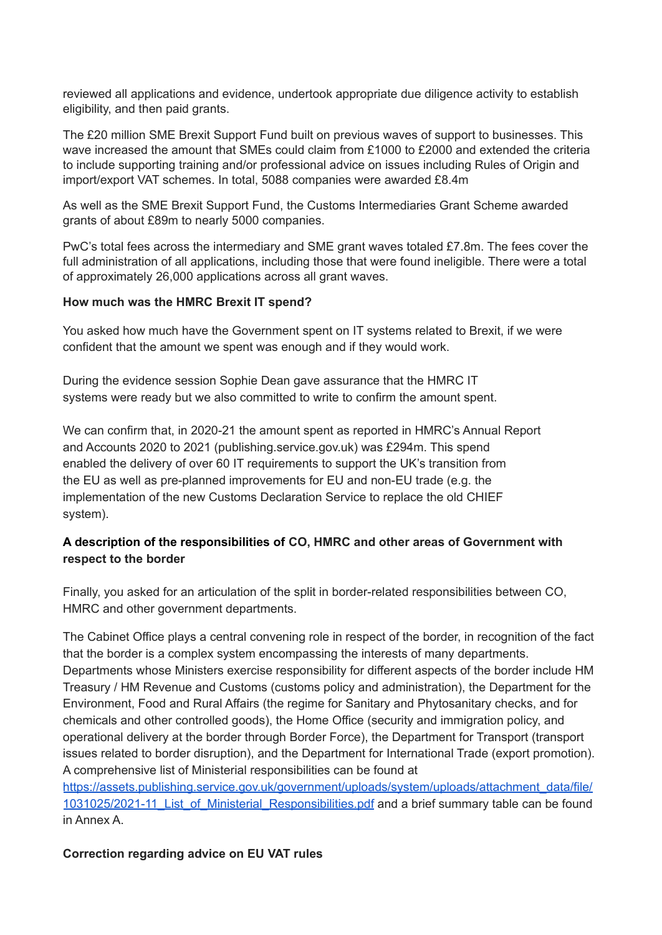reviewed all applications and evidence, undertook appropriate due diligence activity to establish eligibility, and then paid grants.

The £20 million SME Brexit Support Fund built on previous waves of support to businesses. This wave increased the amount that SMEs could claim from £1000 to £2000 and extended the criteria to include supporting training and/or professional advice on issues including Rules of Origin and import/export VAT schemes. In total, 5088 companies were awarded £8.4m

As well as the SME Brexit Support Fund, the Customs Intermediaries Grant Scheme awarded grants of about £89m to nearly 5000 companies.

PwC's total fees across the intermediary and SME grant waves totaled £7.8m. The fees cover the full administration of all applications, including those that were found ineligible. There were a total of approximately 26,000 applications across all grant waves.

#### **How much was the HMRC Brexit IT spend?**

You asked how much have the Government spent on IT systems related to Brexit, if we were confident that the amount we spent was enough and if they would work.

During the evidence session Sophie Dean gave assurance that the HMRC IT systems were ready but we also committed to write to confirm the amount spent.

We can confirm that, in 2020-21 the amount spent as reported in HMRC's Annual Report and Accounts 2020 to 2021 (publishing.service.gov.uk) was £294m. This spend enabled the delivery of over 60 IT requirements to support the UK's transition from the EU as well as pre-planned improvements for EU and non-EU trade (e.g. the implementation of the new Customs Declaration Service to replace the old CHIEF system).

### **A description of the responsibilities of CO, HMRC and other areas of Government with respect to the border**

Finally, you asked for an articulation of the split in border-related responsibilities between CO, HMRC and other government departments.

The Cabinet Office plays a central convening role in respect of the border, in recognition of the fact that the border is a complex system encompassing the interests of many departments. Departments whose Ministers exercise responsibility for different aspects of the border include HM Treasury / HM Revenue and Customs (customs policy and administration), the Department for the Environment, Food and Rural Affairs (the regime for Sanitary and Phytosanitary checks, and for chemicals and other controlled goods), the Home Office (security and immigration policy, and operational delivery at the border through Border Force), the Department for Transport (transport issues related to border disruption), and the Department for International Trade (export promotion). A comprehensive list of Ministerial responsibilities can be found at [https://assets.publishing.service.gov.uk/government/uploads/system/uploads/attachment\\_data/file/](https://assets.publishing.service.gov.uk/government/uploads/system/uploads/attachment_data/file/1031025/2021-11_List_of_Ministerial_Responsibilities.pdf)

[1031025/2021-11\\_List\\_of\\_Ministerial\\_Responsibilities.pdf](https://assets.publishing.service.gov.uk/government/uploads/system/uploads/attachment_data/file/1031025/2021-11_List_of_Ministerial_Responsibilities.pdf) and a brief summary table can be found in Annex A.

#### **Correction regarding advice on EU VAT rules**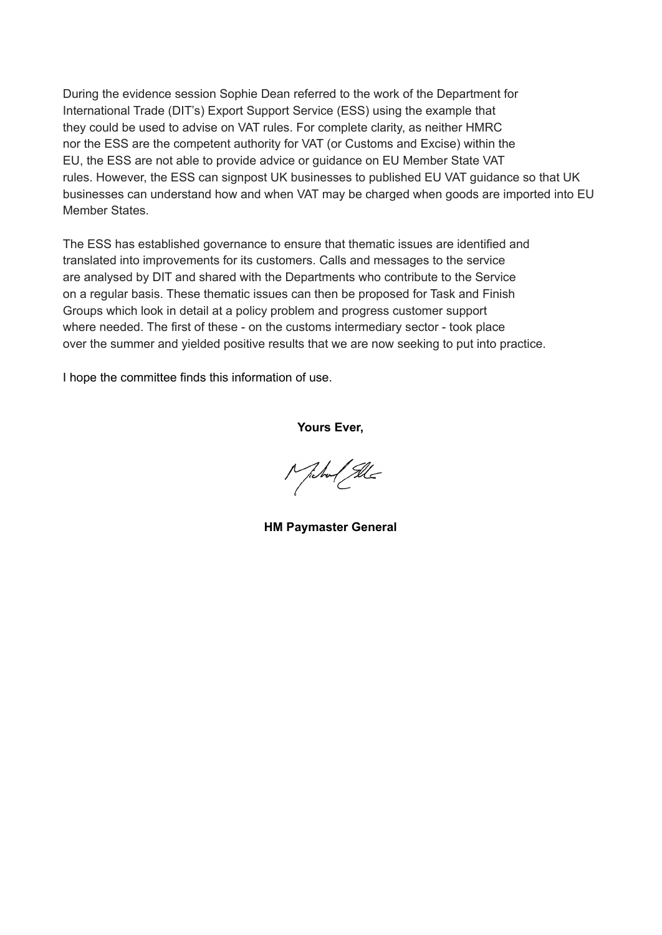During the evidence session Sophie Dean referred to the work of the Department for International Trade (DIT's) Export Support Service (ESS) using the example that they could be used to advise on VAT rules. For complete clarity, as neither HMRC nor the ESS are the competent authority for VAT (or Customs and Excise) within the EU, the ESS are not able to provide advice or guidance on EU Member State VAT rules. However, the ESS can signpost UK businesses to published EU VAT guidance so that UK businesses can understand how and when VAT may be charged when goods are imported into EU Member States.

The ESS has established governance to ensure that thematic issues are identified and translated into improvements for its customers. Calls and messages to the service are analysed by DIT and shared with the Departments who contribute to the Service on a regular basis. These thematic issues can then be proposed for Task and Finish Groups which look in detail at a policy problem and progress customer support where needed. The first of these - on the customs intermediary sector - took place over the summer and yielded positive results that we are now seeking to put into practice.

I hope the committee finds this information of use.

**Yours Ever,**

Michael Sele

**HM Paymaster General**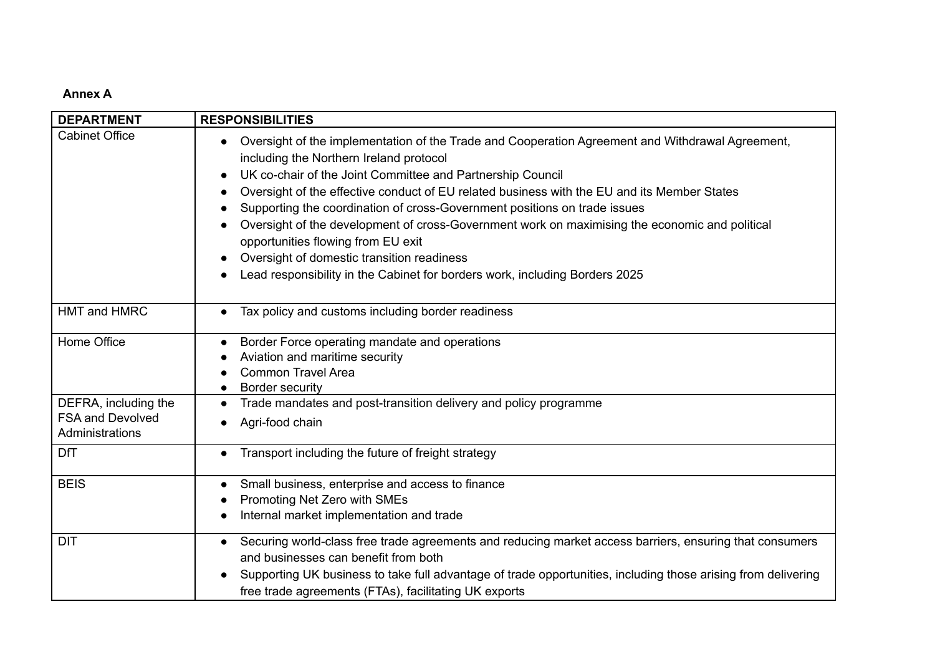#### **Annex A**

| <b>DEPARTMENT</b>                                                  | <b>RESPONSIBILITIES</b>                                                                                                                                                                                                                                                                                                                                                                                                                                                                                                                                                                                                                                                                                        |
|--------------------------------------------------------------------|----------------------------------------------------------------------------------------------------------------------------------------------------------------------------------------------------------------------------------------------------------------------------------------------------------------------------------------------------------------------------------------------------------------------------------------------------------------------------------------------------------------------------------------------------------------------------------------------------------------------------------------------------------------------------------------------------------------|
| <b>Cabinet Office</b>                                              | Oversight of the implementation of the Trade and Cooperation Agreement and Withdrawal Agreement,<br>$\bullet$<br>including the Northern Ireland protocol<br>UK co-chair of the Joint Committee and Partnership Council<br>$\bullet$<br>Oversight of the effective conduct of EU related business with the EU and its Member States<br>Supporting the coordination of cross-Government positions on trade issues<br>Oversight of the development of cross-Government work on maximising the economic and political<br>opportunities flowing from EU exit<br>Oversight of domestic transition readiness<br>$\bullet$<br>Lead responsibility in the Cabinet for borders work, including Borders 2025<br>$\bullet$ |
| HMT and HMRC                                                       | Tax policy and customs including border readiness<br>$\bullet$                                                                                                                                                                                                                                                                                                                                                                                                                                                                                                                                                                                                                                                 |
| Home Office                                                        | Border Force operating mandate and operations<br>Aviation and maritime security<br><b>Common Travel Area</b><br><b>Border security</b>                                                                                                                                                                                                                                                                                                                                                                                                                                                                                                                                                                         |
| DEFRA, including the<br><b>FSA and Devolved</b><br>Administrations | Trade mandates and post-transition delivery and policy programme<br>$\bullet$<br>Agri-food chain<br>$\bullet$                                                                                                                                                                                                                                                                                                                                                                                                                                                                                                                                                                                                  |
| <b>DfT</b>                                                         | Transport including the future of freight strategy<br>$\bullet$                                                                                                                                                                                                                                                                                                                                                                                                                                                                                                                                                                                                                                                |
| <b>BEIS</b>                                                        | Small business, enterprise and access to finance<br>Promoting Net Zero with SMEs<br>Internal market implementation and trade                                                                                                                                                                                                                                                                                                                                                                                                                                                                                                                                                                                   |
| <b>DIT</b>                                                         | Securing world-class free trade agreements and reducing market access barriers, ensuring that consumers<br>and businesses can benefit from both<br>Supporting UK business to take full advantage of trade opportunities, including those arising from delivering<br>free trade agreements (FTAs), facilitating UK exports                                                                                                                                                                                                                                                                                                                                                                                      |